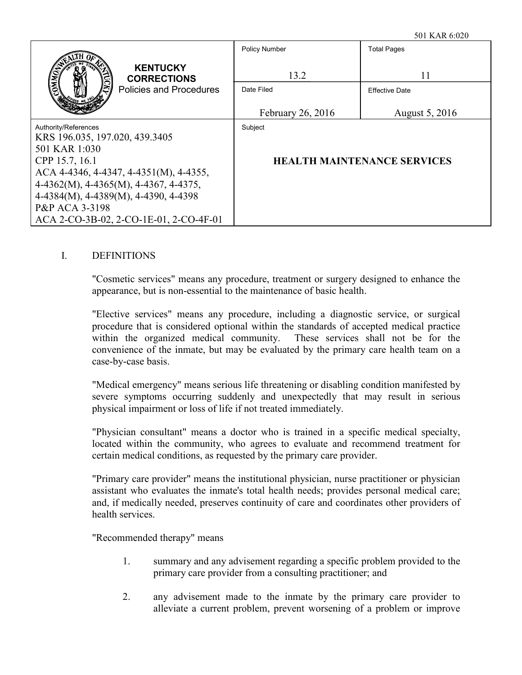|                                                                                             | <b>Policy Number</b>                    | <b>Total Pages</b>                            |
|---------------------------------------------------------------------------------------------|-----------------------------------------|-----------------------------------------------|
| <b>KENTUCKY</b><br><b>CORRECTIONS</b><br><b>Policies and Procedures</b>                     | 13.2<br>Date Filed<br>February 26, 2016 | 11<br><b>Effective Date</b><br>August 5, 2016 |
| Authority/References                                                                        | Subject                                 |                                               |
| KRS 196.035, 197.020, 439.3405<br>501 KAR 1:030                                             |                                         |                                               |
| CPP 15.7, 16.1                                                                              |                                         | <b>HEALTH MAINTENANCE SERVICES</b>            |
| ACA 4-4346, 4-4347, 4-4351(M), 4-4355,<br>$4-4362(M)$ , $4-4365(M)$ , $4-4367$ , $4-4375$ , |                                         |                                               |
| 4-4384(M), 4-4389(M), 4-4390, 4-4398                                                        |                                         |                                               |
| P&P ACA 3-3198                                                                              |                                         |                                               |
| ACA 2-CO-3B-02, 2-CO-1E-01, 2-CO-4F-01                                                      |                                         |                                               |

#### I. DEFINITIONS

"Cosmetic services" means any procedure, treatment or surgery designed to enhance the appearance, but is non-essential to the maintenance of basic health.

"Elective services" means any procedure, including a diagnostic service, or surgical procedure that is considered optional within the standards of accepted medical practice within the organized medical community. These services shall not be for the convenience of the inmate, but may be evaluated by the primary care health team on a case-by-case basis.

"Medical emergency" means serious life threatening or disabling condition manifested by severe symptoms occurring suddenly and unexpectedly that may result in serious physical impairment or loss of life if not treated immediately.

"Physician consultant" means a doctor who is trained in a specific medical specialty, located within the community, who agrees to evaluate and recommend treatment for certain medical conditions, as requested by the primary care provider.

"Primary care provider" means the institutional physician, nurse practitioner or physician assistant who evaluates the inmate's total health needs; provides personal medical care; and, if medically needed, preserves continuity of care and coordinates other providers of health services.

"Recommended therapy" means

- 1. summary and any advisement regarding a specific problem provided to the primary care provider from a consulting practitioner; and
- 2. any advisement made to the inmate by the primary care provider to alleviate a current problem, prevent worsening of a problem or improve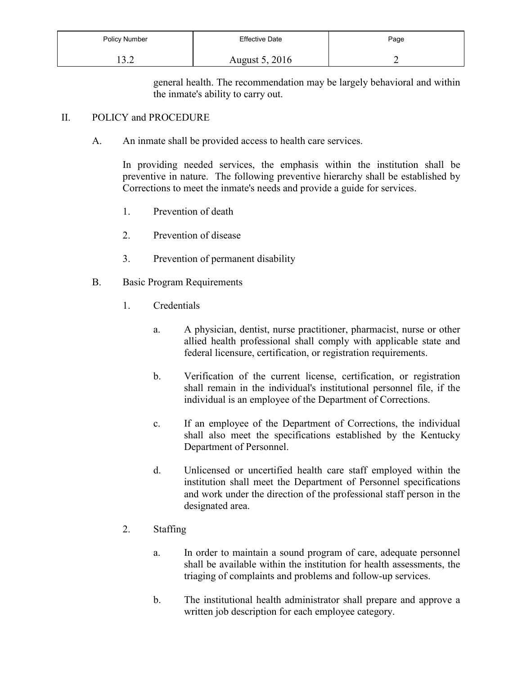| Policy Number   | <b>Effective Date</b> | Page |
|-----------------|-----------------------|------|
| ר רו<br>1 J . 4 | August 5, 2016        | -    |

general health. The recommendation may be largely behavioral and within the inmate's ability to carry out.

#### II. POLICY and PROCEDURE

A. An inmate shall be provided access to health care services.

In providing needed services, the emphasis within the institution shall be preventive in nature. The following preventive hierarchy shall be established by Corrections to meet the inmate's needs and provide a guide for services.

- 1. Prevention of death
- 2. Prevention of disease
- 3. Prevention of permanent disability
- B. Basic Program Requirements
	- 1. Credentials
		- a. A physician, dentist, nurse practitioner, pharmacist, nurse or other allied health professional shall comply with applicable state and federal licensure, certification, or registration requirements.
		- b. Verification of the current license, certification, or registration shall remain in the individual's institutional personnel file, if the individual is an employee of the Department of Corrections.
		- c. If an employee of the Department of Corrections, the individual shall also meet the specifications established by the Kentucky Department of Personnel.
		- d. Unlicensed or uncertified health care staff employed within the institution shall meet the Department of Personnel specifications and work under the direction of the professional staff person in the designated area.
	- 2. Staffing
		- a. In order to maintain a sound program of care, adequate personnel shall be available within the institution for health assessments, the triaging of complaints and problems and follow-up services.
		- b. The institutional health administrator shall prepare and approve a written job description for each employee category.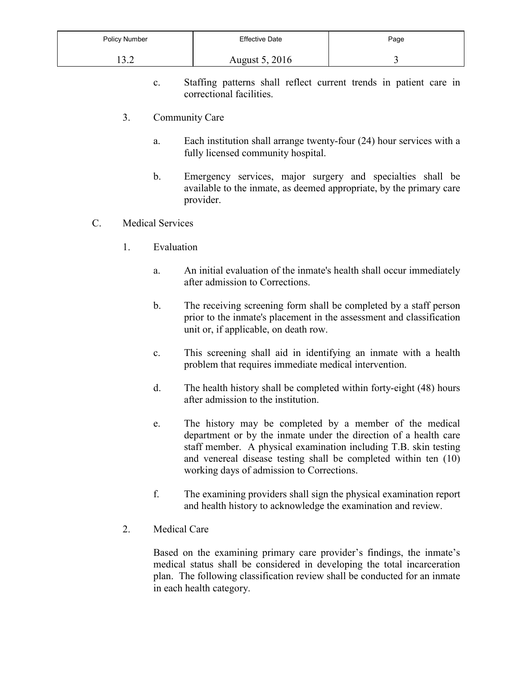| Policy Number              | <b>Effective Date</b> | Page |
|----------------------------|-----------------------|------|
| $\gamma$ $\gamma$<br>1 J.L | <b>August 5, 2016</b> |      |

- c. Staffing patterns shall reflect current trends in patient care in correctional facilities.
- 3. Community Care
	- a. Each institution shall arrange twenty-four (24) hour services with a fully licensed community hospital.
	- b. Emergency services, major surgery and specialties shall be available to the inmate, as deemed appropriate, by the primary care provider.
- C. Medical Services
	- 1. Evaluation
		- a. An initial evaluation of the inmate's health shall occur immediately after admission to Corrections.
		- b. The receiving screening form shall be completed by a staff person prior to the inmate's placement in the assessment and classification unit or, if applicable, on death row.
		- c. This screening shall aid in identifying an inmate with a health problem that requires immediate medical intervention.
		- d. The health history shall be completed within forty-eight (48) hours after admission to the institution.
		- e. The history may be completed by a member of the medical department or by the inmate under the direction of a health care staff member. A physical examination including T.B. skin testing and venereal disease testing shall be completed within ten (10) working days of admission to Corrections.
		- f. The examining providers shall sign the physical examination report and health history to acknowledge the examination and review.
	- 2. Medical Care

Based on the examining primary care provider's findings, the inmate's medical status shall be considered in developing the total incarceration plan. The following classification review shall be conducted for an inmate in each health category.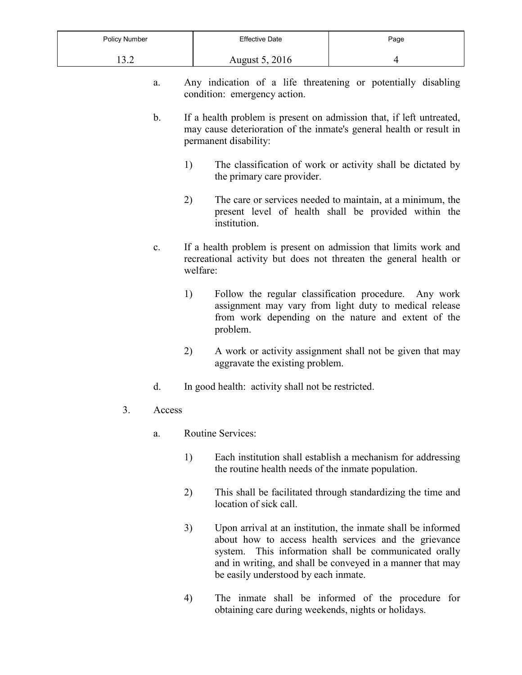| Policy Number          | Effective Date | Page |
|------------------------|----------------|------|
| $\Omega$<br>. <u>.</u> | August 5, 2016 |      |

- a. Any indication of a life threatening or potentially disabling condition: emergency action.
- b. If a health problem is present on admission that, if left untreated, may cause deterioration of the inmate's general health or result in permanent disability:
	- 1) The classification of work or activity shall be dictated by the primary care provider.
	- 2) The care or services needed to maintain, at a minimum, the present level of health shall be provided within the institution.
- c. If a health problem is present on admission that limits work and recreational activity but does not threaten the general health or welfare:
	- 1) Follow the regular classification procedure. Any work assignment may vary from light duty to medical release from work depending on the nature and extent of the problem.
	- 2) A work or activity assignment shall not be given that may aggravate the existing problem.
- d. In good health: activity shall not be restricted.
- 3. Access
	- a. Routine Services:
		- 1) Each institution shall establish a mechanism for addressing the routine health needs of the inmate population.
		- 2) This shall be facilitated through standardizing the time and location of sick call.
		- 3) Upon arrival at an institution, the inmate shall be informed about how to access health services and the grievance system. This information shall be communicated orally and in writing, and shall be conveyed in a manner that may be easily understood by each inmate.
		- 4) The inmate shall be informed of the procedure for obtaining care during weekends, nights or holidays.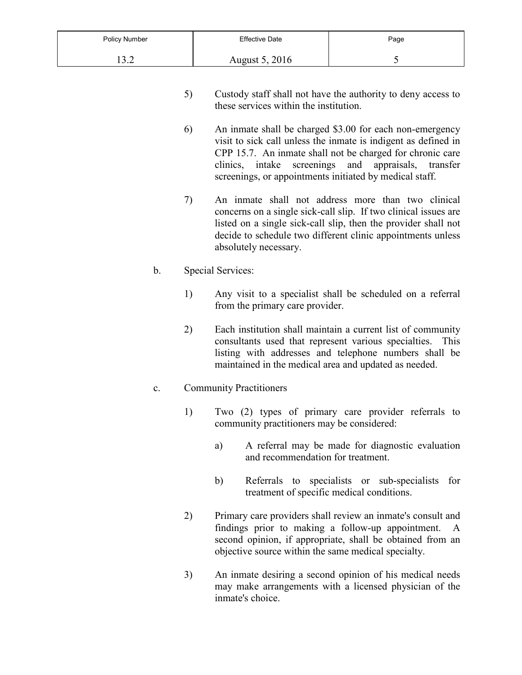| Policy Number     | <b>Effective Date</b> | Page                  |
|-------------------|-----------------------|-----------------------|
| $\gamma$ $\gamma$ | August 5, 2016        | $\tilde{\phantom{a}}$ |

- 5) Custody staff shall not have the authority to deny access to these services within the institution.
- 6) An inmate shall be charged \$3.00 for each non-emergency visit to sick call unless the inmate is indigent as defined in CPP 15.7. An inmate shall not be charged for chronic care clinics, intake screenings and appraisals, transfer screenings, or appointments initiated by medical staff.
- 7) An inmate shall not address more than two clinical concerns on a single sick-call slip. If two clinical issues are listed on a single sick-call slip, then the provider shall not decide to schedule two different clinic appointments unless absolutely necessary.

#### b. Special Services:

- 1) Any visit to a specialist shall be scheduled on a referral from the primary care provider.
- 2) Each institution shall maintain a current list of community consultants used that represent various specialties. This listing with addresses and telephone numbers shall be maintained in the medical area and updated as needed.

### c. Community Practitioners

- 1) Two (2) types of primary care provider referrals to community practitioners may be considered:
	- a) A referral may be made for diagnostic evaluation and recommendation for treatment.
	- b) Referrals to specialists or sub-specialists for treatment of specific medical conditions.
- 2) Primary care providers shall review an inmate's consult and findings prior to making a follow-up appointment. A second opinion, if appropriate, shall be obtained from an objective source within the same medical specialty.
- 3) An inmate desiring a second opinion of his medical needs may make arrangements with a licensed physician of the inmate's choice.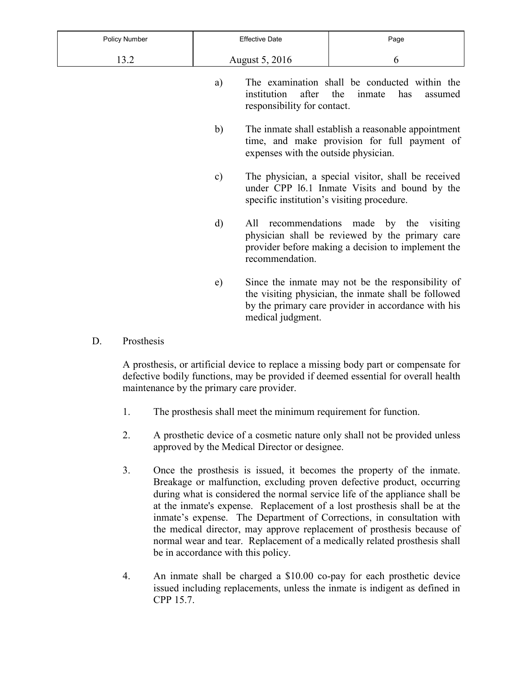| Policy Number | <b>Effective Date</b>                                       |                                                     | Page                                                                                                                                                             |
|---------------|-------------------------------------------------------------|-----------------------------------------------------|------------------------------------------------------------------------------------------------------------------------------------------------------------------|
| 13.2          |                                                             | August 5, 2016                                      | 6                                                                                                                                                                |
|               | a)                                                          | after<br>institution<br>responsibility for contact. | The examination shall be conducted within the<br>the<br>has<br>inmate<br>assumed                                                                                 |
|               | b)                                                          | expenses with the outside physician.                | The inmate shall establish a reasonable appointment<br>time, and make provision for full payment of                                                              |
|               | $\mathbf{c})$<br>specific institution's visiting procedure. |                                                     | The physician, a special visitor, shall be received<br>under CPP 16.1 Inmate Visits and bound by the                                                             |
|               | d)                                                          | All<br>recommendation.                              | recommendations made by the visiting<br>physician shall be reviewed by the primary care<br>provider before making a decision to implement the                    |
|               | e)                                                          | medical judgment.                                   | Since the inmate may not be the responsibility of<br>the visiting physician, the inmate shall be followed<br>by the primary care provider in accordance with his |

D. Prosthesis

A prosthesis, or artificial device to replace a missing body part or compensate for defective bodily functions, may be provided if deemed essential for overall health maintenance by the primary care provider.

- 1. The prosthesis shall meet the minimum requirement for function.
- 2. A prosthetic device of a cosmetic nature only shall not be provided unless approved by the Medical Director or designee.
- 3. Once the prosthesis is issued, it becomes the property of the inmate. Breakage or malfunction, excluding proven defective product, occurring during what is considered the normal service life of the appliance shall be at the inmate's expense. Replacement of a lost prosthesis shall be at the inmate's expense. The Department of Corrections, in consultation with the medical director, may approve replacement of prosthesis because of normal wear and tear. Replacement of a medically related prosthesis shall be in accordance with this policy.
- 4. An inmate shall be charged a \$10.00 co-pay for each prosthetic device issued including replacements, unless the inmate is indigent as defined in CPP 15.7.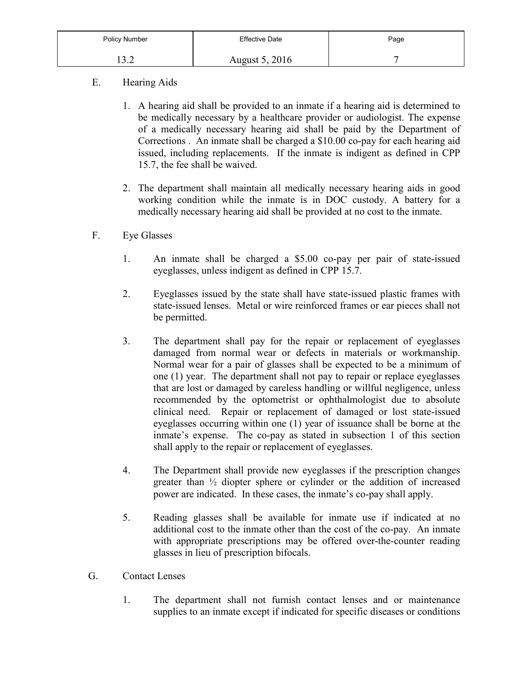| Policy Number              | Effective Date | Page |
|----------------------------|----------------|------|
| $\gamma$ $\gamma$<br>— J.∠ | August 5, 2016 | -    |

- E. Hearing Aids
	- 1. A hearing aid shall be provided to an inmate if a hearing aid is determined to be medically necessary by a healthcare provider or audiologist. The expense of a medically necessary hearing aid shall be paid by the Department of Corrections . An inmate shall be charged a \$10.00 co-pay for each hearing aid issued, including replacements. If the inmate is indigent as defined in CPP 15.7, the fee shall be waived.
	- 2. The department shall maintain all medically necessary hearing aids in good working condition while the inmate is in DOC custody. A battery for a medically necessary hearing aid shall be provided at no cost to the inmate.
- F. Eye Glasses
	- 1. An inmate shall be charged a \$5.00 co-pay per pair of state-issued eyeglasses, unless indigent as defined in CPP 15.7.
	- 2. Eyeglasses issued by the state shall have state-issued plastic frames with state-issued lenses. Metal or wire reinforced frames or ear pieces shall not be permitted.
	- 3. The department shall pay for the repair or replacement of eyeglasses damaged from normal wear or defects in materials or workmanship. Normal wear for a pair of glasses shall be expected to be a minimum of one (1) year. The department shall not pay to repair or replace eyeglasses that are lost or damaged by careless handling or willful negligence, unless recommended by the optometrist or ophthalmologist due to absolute clinical need. Repair or replacement of damaged or lost state-issued eyeglasses occurring within one (1) year of issuance shall be borne at the inmate's expense. The co-pay as stated in subsection 1 of this section shall apply to the repair or replacement of eyeglasses.
	- 4. The Department shall provide new eyeglasses if the prescription changes greater than ½ diopter sphere or cylinder or the addition of increased power are indicated. In these cases, the inmate's co-pay shall apply.
	- 5. Reading glasses shall be available for inmate use if indicated at no additional cost to the inmate other than the cost of the co-pay. An inmate with appropriate prescriptions may be offered over-the-counter reading glasses in lieu of prescription bifocals.
- G. Contact Lenses
	- 1. The department shall not furnish contact lenses and or maintenance supplies to an inmate except if indicated for specific diseases or conditions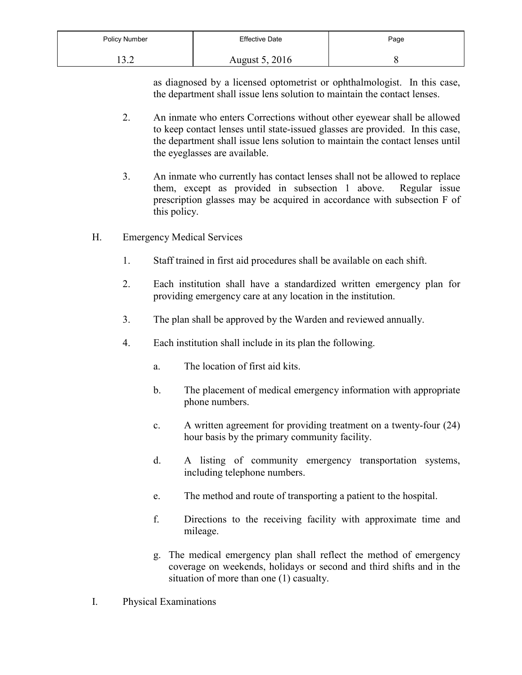| Policy Number            | <b>Effective Date</b> | Page |
|--------------------------|-----------------------|------|
| $\sim$ $\sim$<br>1 J . A | <b>August 5, 2016</b> |      |

as diagnosed by a licensed optometrist or ophthalmologist. In this case, the department shall issue lens solution to maintain the contact lenses.

- 2. An inmate who enters Corrections without other eyewear shall be allowed to keep contact lenses until state-issued glasses are provided. In this case, the department shall issue lens solution to maintain the contact lenses until the eyeglasses are available.
- 3. An inmate who currently has contact lenses shall not be allowed to replace them, except as provided in subsection 1 above. Regular issue prescription glasses may be acquired in accordance with subsection F of this policy.
- H. Emergency Medical Services
	- 1. Staff trained in first aid procedures shall be available on each shift.
	- 2. Each institution shall have a standardized written emergency plan for providing emergency care at any location in the institution.
	- 3. The plan shall be approved by the Warden and reviewed annually.
	- 4. Each institution shall include in its plan the following.
		- a. The location of first aid kits.
		- b. The placement of medical emergency information with appropriate phone numbers.
		- c. A written agreement for providing treatment on a twenty-four (24) hour basis by the primary community facility.
		- d. A listing of community emergency transportation systems, including telephone numbers.
		- e. The method and route of transporting a patient to the hospital.
		- f. Directions to the receiving facility with approximate time and mileage.
		- g. The medical emergency plan shall reflect the method of emergency coverage on weekends, holidays or second and third shifts and in the situation of more than one (1) casualty.
- I. Physical Examinations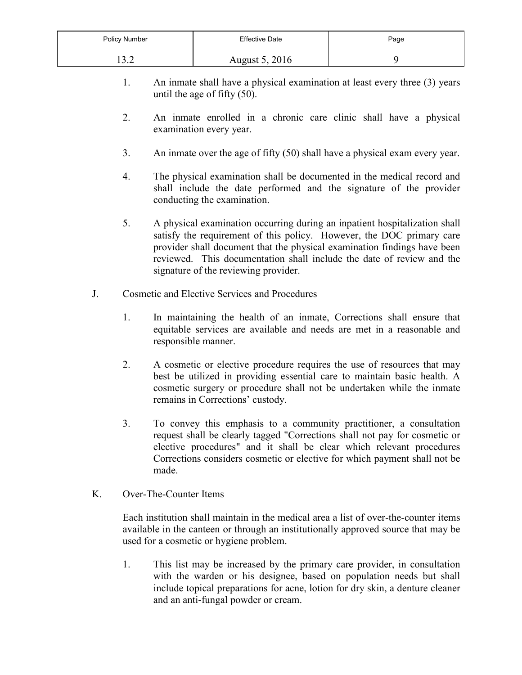| Policy Number      | <b>Effective Date</b> | Page |
|--------------------|-----------------------|------|
| $\Omega$<br>⊥ J .∠ | August 5, 2016        |      |

- 1. An inmate shall have a physical examination at least every three (3) years until the age of fifty (50).
- 2. An inmate enrolled in a chronic care clinic shall have a physical examination every year.
- 3. An inmate over the age of fifty (50) shall have a physical exam every year.
- 4. The physical examination shall be documented in the medical record and shall include the date performed and the signature of the provider conducting the examination.
- 5. A physical examination occurring during an inpatient hospitalization shall satisfy the requirement of this policy. However, the DOC primary care provider shall document that the physical examination findings have been reviewed. This documentation shall include the date of review and the signature of the reviewing provider.
- J. Cosmetic and Elective Services and Procedures
	- 1. In maintaining the health of an inmate, Corrections shall ensure that equitable services are available and needs are met in a reasonable and responsible manner.
	- 2. A cosmetic or elective procedure requires the use of resources that may best be utilized in providing essential care to maintain basic health. A cosmetic surgery or procedure shall not be undertaken while the inmate remains in Corrections' custody.
	- 3. To convey this emphasis to a community practitioner, a consultation request shall be clearly tagged "Corrections shall not pay for cosmetic or elective procedures" and it shall be clear which relevant procedures Corrections considers cosmetic or elective for which payment shall not be made.
- K. Over-The-Counter Items

Each institution shall maintain in the medical area a list of over-the-counter items available in the canteen or through an institutionally approved source that may be used for a cosmetic or hygiene problem.

1. This list may be increased by the primary care provider, in consultation with the warden or his designee, based on population needs but shall include topical preparations for acne, lotion for dry skin, a denture cleaner and an anti-fungal powder or cream.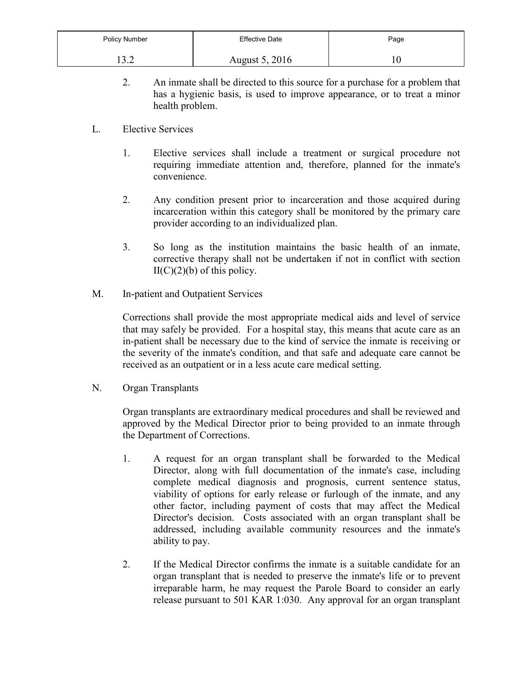| Policy Number    | <b>Effective Date</b> | Page |
|------------------|-----------------------|------|
| $\Omega$<br>1J.4 | August 5, 2016        | 10   |

- 2. An inmate shall be directed to this source for a purchase for a problem that has a hygienic basis, is used to improve appearance, or to treat a minor health problem.
- L. Elective Services
	- 1. Elective services shall include a treatment or surgical procedure not requiring immediate attention and, therefore, planned for the inmate's convenience.
	- 2. Any condition present prior to incarceration and those acquired during incarceration within this category shall be monitored by the primary care provider according to an individualized plan.
	- 3. So long as the institution maintains the basic health of an inmate, corrective therapy shall not be undertaken if not in conflict with section  $II(C)(2)(b)$  of this policy.
- M. In-patient and Outpatient Services

Corrections shall provide the most appropriate medical aids and level of service that may safely be provided. For a hospital stay, this means that acute care as an in-patient shall be necessary due to the kind of service the inmate is receiving or the severity of the inmate's condition, and that safe and adequate care cannot be received as an outpatient or in a less acute care medical setting.

N. Organ Transplants

Organ transplants are extraordinary medical procedures and shall be reviewed and approved by the Medical Director prior to being provided to an inmate through the Department of Corrections.

- 1. A request for an organ transplant shall be forwarded to the Medical Director, along with full documentation of the inmate's case, including complete medical diagnosis and prognosis, current sentence status, viability of options for early release or furlough of the inmate, and any other factor, including payment of costs that may affect the Medical Director's decision. Costs associated with an organ transplant shall be addressed, including available community resources and the inmate's ability to pay.
- 2. If the Medical Director confirms the inmate is a suitable candidate for an organ transplant that is needed to preserve the inmate's life or to prevent irreparable harm, he may request the Parole Board to consider an early release pursuant to 501 KAR 1:030. Any approval for an organ transplant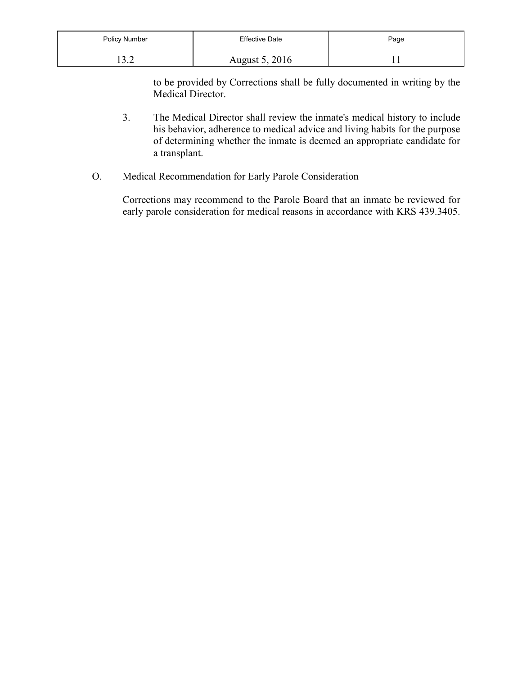| Policy Number | <b>Effective Date</b> | Page |
|---------------|-----------------------|------|
| $\sim$ $\sim$ | <b>August 5, 2016</b> |      |

to be provided by Corrections shall be fully documented in writing by the Medical Director.

- 3. The Medical Director shall review the inmate's medical history to include his behavior, adherence to medical advice and living habits for the purpose of determining whether the inmate is deemed an appropriate candidate for a transplant.
- O. Medical Recommendation for Early Parole Consideration

Corrections may recommend to the Parole Board that an inmate be reviewed for early parole consideration for medical reasons in accordance with KRS 439.3405.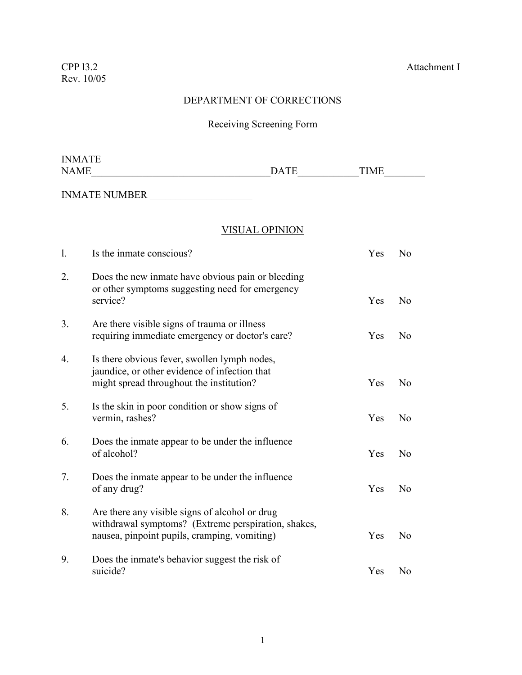## DEPARTMENT OF CORRECTIONS

# Receiving Screening Form

| <b>INMATE</b>    |                                                                                                                                                       |                       |             |                |
|------------------|-------------------------------------------------------------------------------------------------------------------------------------------------------|-----------------------|-------------|----------------|
| <b>NAME</b>      |                                                                                                                                                       | <b>DATE</b>           | <b>TIME</b> |                |
|                  | INMATE NUMBER                                                                                                                                         |                       |             |                |
|                  |                                                                                                                                                       | <b>VISUAL OPINION</b> |             |                |
| $\mathbf{1}$     | Is the inmate conscious?                                                                                                                              |                       | Yes         | No             |
| 2.               | Does the new inmate have obvious pain or bleeding<br>or other symptoms suggesting need for emergency<br>service?                                      |                       | Yes         | N <sub>o</sub> |
| 3.               | Are there visible signs of trauma or illness<br>requiring immediate emergency or doctor's care?                                                       |                       | Yes         | No             |
| $\overline{4}$ . | Is there obvious fever, swollen lymph nodes,<br>jaundice, or other evidence of infection that<br>might spread throughout the institution?             |                       | Yes         | N <sub>o</sub> |
| 5.               | Is the skin in poor condition or show signs of<br>vermin, rashes?                                                                                     |                       | Yes         | N <sub>o</sub> |
| 6.               | Does the inmate appear to be under the influence<br>of alcohol?                                                                                       |                       | Yes         | N <sub>o</sub> |
| 7.               | Does the inmate appear to be under the influence<br>of any drug?                                                                                      |                       | Yes         | No             |
| 8.               | Are there any visible signs of alcohol or drug<br>withdrawal symptoms? (Extreme perspiration, shakes,<br>nausea, pinpoint pupils, cramping, vomiting) |                       | Yes         | No             |
| 9.               | Does the inmate's behavior suggest the risk of<br>suicide?                                                                                            |                       | Yes         | N <sub>o</sub> |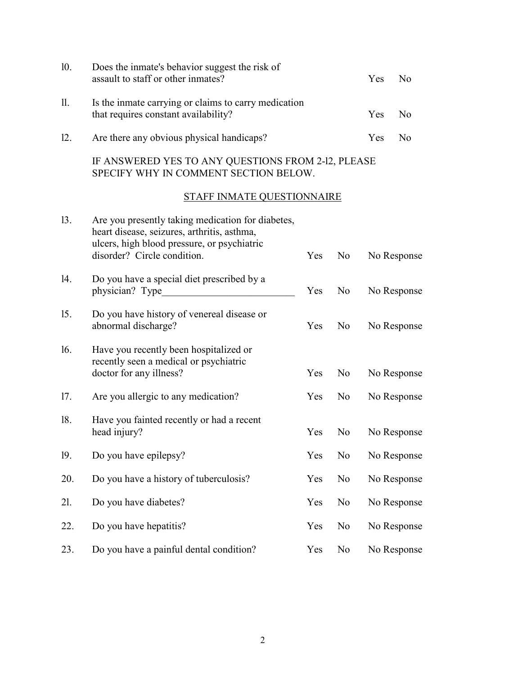| 10. | Does the inmate's behavior suggest the risk of<br>assault to staff or other inmates?         | Yes.       | No. |  |  |  |  |
|-----|----------------------------------------------------------------------------------------------|------------|-----|--|--|--|--|
| 11. | Is the inmate carrying or claims to carry medication<br>that requires constant availability? | <b>Yes</b> | No. |  |  |  |  |
| 12. | Are there any obvious physical handicaps?                                                    | <b>Yes</b> | No. |  |  |  |  |
|     | IF ANSWERED YES TO ANY QUESTIONS FROM 2-12, PLEASE<br>SPECIFY WHY IN COMMENT SECTION BELOW.  |            |     |  |  |  |  |
|     | <b>STAFF INMATE QUESTIONNAIRE</b>                                                            |            |     |  |  |  |  |
| 13. | Are you presently taking medication for diabetes,                                            |            |     |  |  |  |  |

|     | heart disease, seizures, arthritis, asthma,<br>ulcers, high blood pressure, or psychiatric<br>disorder? Circle condition. | Yes | N <sub>0</sub> | No Response |
|-----|---------------------------------------------------------------------------------------------------------------------------|-----|----------------|-------------|
| 14. | Do you have a special diet prescribed by a<br>physician? Type                                                             | Yes | N <sub>0</sub> | No Response |
| 15. | Do you have history of venereal disease or<br>abnormal discharge?                                                         | Yes | N <sub>0</sub> | No Response |
| 16. | Have you recently been hospitalized or<br>recently seen a medical or psychiatric<br>doctor for any illness?               | Yes | N <sub>0</sub> | No Response |
| 17. | Are you allergic to any medication?                                                                                       | Yes | N <sub>o</sub> | No Response |
| 18. | Have you fainted recently or had a recent<br>head injury?                                                                 | Yes | N <sub>o</sub> | No Response |
| 19. | Do you have epilepsy?                                                                                                     | Yes | N <sub>0</sub> | No Response |
| 20. | Do you have a history of tuberculosis?                                                                                    | Yes | N <sub>0</sub> | No Response |
| 21. | Do you have diabetes?                                                                                                     | Yes | N <sub>0</sub> | No Response |
| 22. | Do you have hepatitis?                                                                                                    | Yes | N <sub>0</sub> | No Response |
| 23. | Do you have a painful dental condition?                                                                                   | Yes | N <sub>o</sub> | No Response |